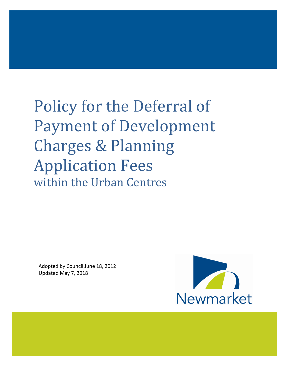# Policy for the Deferral of Payment of Development Charges & Planning Application Fees within the Urban Centres

Adopted by Council June 18, 2012 Updated May 7, 2018

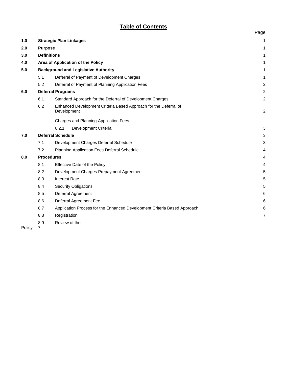# **Table of Contents**

|     |                                             |                                                                                 | Page           |
|-----|---------------------------------------------|---------------------------------------------------------------------------------|----------------|
| 1.0 |                                             | <b>Strategic Plan Linkages</b>                                                  | 1              |
| 2.0 | <b>Purpose</b>                              |                                                                                 | 1              |
| 3.0 |                                             | <b>Definitions</b>                                                              | 1              |
| 4.0 |                                             | Area of Application of the Policy                                               | 1              |
| 5.0 | <b>Background and Legislative Authority</b> |                                                                                 | 1              |
|     | 5.1                                         | Deferral of Payment of Development Charges                                      | 1              |
|     | 5.2                                         | Deferral of Payment of Planning Application Fees                                | $\overline{c}$ |
| 6.0 | <b>Deferral Programs</b>                    |                                                                                 | $\overline{c}$ |
|     | 6.1                                         | Standard Approach for the Deferral of Development Charges                       | $\overline{c}$ |
|     | 6.2                                         | Enhanced Development Criteria Based Approach for the Deferral of<br>Development | $\overline{c}$ |
|     |                                             | Charges and Planning Application Fees                                           |                |
|     |                                             | 6.2.1<br>Development Criteria                                                   | $\mathbf{3}$   |
| 7.0 | <b>Deferral Schedule</b>                    |                                                                                 | 3              |
|     | 7.1                                         | Development Charges Deferral Schedule                                           | 3              |
|     | 7.2                                         | <b>Planning Application Fees Deferral Schedule</b>                              | $\overline{4}$ |
| 8.0 | <b>Procedures</b>                           |                                                                                 | 4              |
|     | 8.1                                         | Effective Date of the Policy                                                    | 4              |
|     | 8.2                                         | Development Charges Prepayment Agreement                                        | 5              |
|     | 8.3                                         | <b>Interest Rate</b>                                                            | 5              |
|     | 8.4                                         | <b>Security Obligations</b>                                                     | 5              |
|     | 8.5                                         | Deferral Agreement                                                              | 6              |
|     | 8.6                                         | Deferral Agreement Fee                                                          | 6              |
|     | 8.7                                         | Application Process for the Enhanced Development Criteria Based Approach        | 6              |
|     | 8.8                                         | Registration                                                                    | 7              |
|     | 8.9                                         | Review of the                                                                   |                |

Policy<sub>7</sub>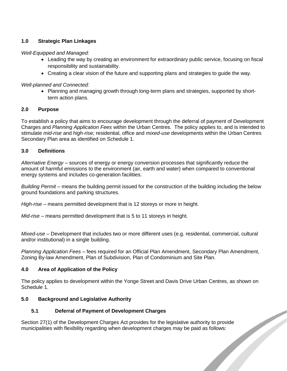# **1.0 Strategic Plan Linkages**

*Well-Equipped and Managed:* 

- Leading the way by creating an environment for extraordinary public service, focusing on fiscal responsibility and sustainability.
- Creating a clear vision of the future and supporting plans and strategies to guide the way.

*Well-planned and Connected:*

• Planning and managing growth through long-term plans and strategies, supported by shortterm action plans.

#### **2.0 Purpose**

To establish a policy that aims to encourage development through the deferral of payment of Development Charges and *Planning Application Fees* within the Urban Centres. The policy applies to, and is intended to stimulate *mid-rise* and *high-rise;* residential, office and *mixed-use* developments within the Urban Centres Secondary Plan area as identified on Schedule 1.

#### **3.0 Definitions**

*Alternative Energy* – sources of energy or energy conversion processes that significantly reduce the amount of harmful emissions to the environment (air, earth and water) when compared to conventional energy systems and includes co-generation facilities.

*Building Permit* – means the building permit issued for the construction of the building including the below ground foundations and parking structures.

*High-rise* – means permitted development that is 12 storeys or more in height.

*Mid-rise* – means permitted development that is 5 to 11 storeys in height.

*Mixed-use* – Development that includes two or more different uses (e.g. residential, commercial, cultural and/or institutional) in a single building.

*Planning Application Fees* – fees required for an Official Plan Amendment, Secondary Plan Amendment, Zoning By-law Amendment, Plan of Subdivision, Plan of Condominium and Site Plan.

#### **4.0 Area of Application of the Policy**

The policy applies to development within the Yonge Street and Davis Drive Urban Centres, as shown on Schedule 1.

 $\overline{\phantom{a}}$ 

#### **5.0 Background and Legislative Authority**

#### **5.1 Deferral of Payment of Development Charges**

Section 27(1) of the Development Charges Act provides for the legislative authority to provide<br>municipalities with flexibility regarding when development charges may be paid as follows: municipalities with flexibility regarding when development charges may be paid as follows: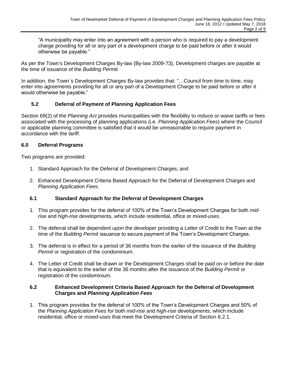"A municipality may enter into an agreement with a person who is required to pay a development charge providing for all or any part of a development charge to be paid before or after it would otherwise be payable."

As per the Town's Development Charges By-law (By-law 2009-73), Development charges are payable at the time of issuance of the *Building Permit.*

In addition, the Town`s Development Charges By-law provides that: "…Council from time to time, may enter into agreements providing for all or any part of a Development Charge to be paid before or after it would otherwise be payable."

# **5.2 Deferral of Payment of Planning Application Fees**

Section 69(2) of the *Planning Act* provides municipalities with the flexibility to reduce or waive tariffs or fees associated with the processing of planning applications (i.e. *Planning Application Fees*) where the Council or applicable planning committee is satisfied that it would be unreasonable to require payment in accordance with the tariff.

#### **6.0 Deferral Programs**

Two programs are provided:

- 1. Standard Approach for the Deferral of Development Charges; and
- 2. Enhanced Development Criteria Based Approach for the Deferral of Development Charges and *Planning Application Fees*.

#### **6.1 Standard Approach for the Deferral of Development Charges**

- 1. This program provides for the deferral of 100% of the Town's Development Charges for both *midrise* and *high-rise* developments, which include residential, office or *mixed-uses*.
- 2. The deferral shall be dependent upon the developer providing a Letter of Credit to the Town at the time of the *Building Permit* issuance to secure payment of the Town's Development Charges.
- 3. The deferral is in effect for a period of 36 months from the earlier of the issuance of the *Building Permit* or registration of the condominium.
- 4. The Letter of Credit shall be drawn or the Development Charges shall be paid on or before the date that is equivalent to the earlier of the 36 months after the issuance of the *Building Permit* or registration of the condominium.

#### **6.2 Enhanced Development Criteria Based Approach for the Deferral of Development Charges and** *Planning Application Fees*

1. This program provides for the deferral of 100% of the Town's Development Charges and 50% of the *Planning Application Fees* for both *mid-rise* and *high-rise* developments, which include residential, office or *mixed-uses* that meet the Development Criteria of Section 6.2.1.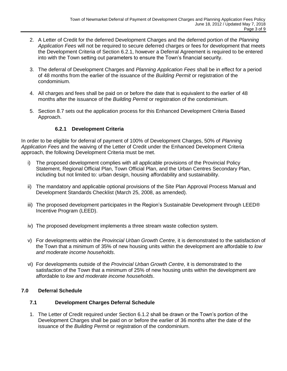- 2. A Letter of Credit for the deferred Development Charges and the deferred portion of the *Planning Application Fees* will not be required to secure deferred charges or fees for development that meets the Development Criteria of Section 6.2.1, however a Deferral Agreement is required to be entered into with the Town setting out parameters to ensure the Town's financial security.
- 3. The deferral of Development Charges and *Planning Application Fees* shall be in effect for a period of 48 months from the earlier of the issuance of the *Building Permit* or registration of the condominium.
- 4. All charges and fees shall be paid on or before the date that is equivalent to the earlier of 48 months after the issuance of the *Building Permit* or registration of the condominium.
- 5. Section 8.7 sets out the application process for this Enhanced Development Criteria Based Approach.

# **6.2.1 Development Criteria**

In order to be eligible for deferral of payment of 100% of Development Charges, 50% of *Planning Application Fees* and the waiving of the Letter of Credit under the Enhanced Development Criteria approach, the following Development Criteria must be met.

- i) The proposed development complies with all applicable provisions of the Provincial Policy Statement, Regional Official Plan, Town Official Plan, and the Urban Centres Secondary Plan, including but not limited to: urban design, housing affordability and sustainability.
- ii) The mandatory and applicable optional provisions of the Site Plan Approval Process Manual and Development Standards Checklist (March 25, 2008, as amended).
- iii) The proposed development participates in the Region's Sustainable Development through LEED® Incentive Program (LEED).
- iv) The proposed development implements a three stream waste collection system.
- v) For developments within the *Provincial Urban Growth Centre,* it is demonstrated to the satisfaction of the Town that a minimum of 35% of new housing units within the development are affordable to *low and moderate income households*.
- vi) For developments outside of the *Provincial Urban Growth Centre,* it is demonstrated to the satisfaction of the Town that a minimum of 25% of new housing units within the development are affordable to *low and moderate income households*.

#### **7.0 Deferral Schedule**

#### **7.1 Development Charges Deferral Schedule**

1. The Letter of Credit required under Section 6.1.2 shall be drawn or the Town's portion of the Development Charges shall be paid on or before the earlier of 36 months after the date of the issuance of the *Building Permit* or registration of the condominium.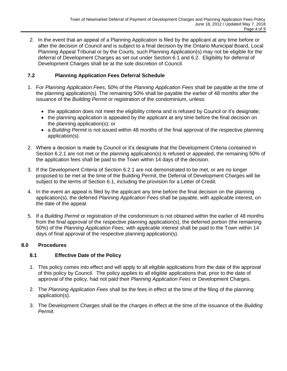2. In the event that an appeal of a Planning Application is filed by the applicant at any time before or after the decision of Council and is subject to a final decision by the Ontario Municipal Board, Local Planning Appeal Tribunal or by the Courts, such Planning Application(s) may not be eligible for the deferral of Development Charges as set out under Section 6.1 and 6.2. Eligibility for deferral of Development Charges shall be at the sole discretion of Council.

# **7.2 Planning Application Fees Deferral Schedule**

- 1. For *Planning Application Fees*, 50% of the *Planning Application Fees* shall be payable at the time of the planning application(s). The remaining 50% shall be payable the earlier of 48 months after the issuance of the *Building Permit* or registration of the condominium, unless:
	- the application does not meet the eligibility criteria and is refused by Council or it's designate;
	- the planning application is appealed by the applicant at any time before the final decision on the planning application(s); or
	- a *Building Permit* is not issued within 48 months of the final approval of the respective planning application(s).
- 2. Where a decision is made by Council or it's designate that the Development Criteria contained in Section 6.2.1 are not met or the planning application(s) is refused or appealed, the remaining 50% of the application fees shall be paid to the Town within 14 days of the decision.
- 3. If the Development Criteria of Section 6.2.1 are not demonstrated to be met, or are no longer proposed to be met at the time of the Building Permit, the Deferral of Development Charges will be subject to the terms of Section 6.1, including the provision for a Letter of Credit.
- 4. In the event an appeal is filed by the applicant any time before the final decision on the planning application(s), the deferred *Planning Application Fees* shall be payable, with applicable interest, on the date of the appeal.
- 5. If a *Building Permit* or registration of the condominium is not obtained within the earlier of 48 months from the final approval of the respective planning application(s), the deferred portion (the remaining 50%) of the *Planning Application Fees*, with applicable interest shall be paid to the Town within 14 days of final approval of the respective planning application(s).

#### **8.0 Procedures**

#### **8.1 Effective Date of the Policy**

- 1. This policy comes into effect and will apply to all eligible applications from the date of the approval of this policy by Council. The policy applies to all eligible applications that, prior to the date of approval of the policy, had not paid their *Planning Application Fees* or Development Charges.
- 2. The *Planning Application Fees* shall be the fees in effect at the time of the filing of the planning application(s).
- 3. The Development Charges shall be the charges in effect at the time of the issuance of the *Building Permit*.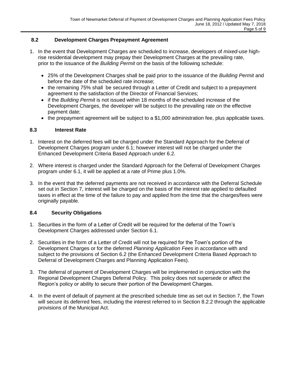### **8.2 Development Charges Prepayment Agreement**

- 1. In the event that Development Charges are scheduled to increase, developers of *mixed-use* highrise residential development may prepay their Development Charges at the prevailing rate, prior to the issuance of the *Building Permit* on the basis of the following schedule:
	- 25% of the Development Charges shall be paid prior to the issuance of the *Building Permit* and before the date of the scheduled rate increase;
	- the remaining 75% shall be secured through a Letter of Credit and subject to a prepayment agreement to the satisfaction of the Director of Financial Services;
	- if the *Building Permit* is not issued within 18 months of the scheduled increase of the Development Charges, the developer will be subject to the prevailing rate on the effective payment date;
	- the prepayment agreement will be subject to a \$1,000 administration fee, plus applicable taxes.

#### **8.3 Interest Rate**

- 1. Interest on the deferred fees will be charged under the Standard Approach for the Deferral of Development Charges program under 6.1; however interest will not be charged under the Enhanced Development Criteria Based Approach under 6.2.
- 2. Where interest is charged under the Standard Approach for the Deferral of Development Charges program under 6.1, it will be applied at a rate of Prime plus 1.0%.
- 3. In the event that the deferred payments are not received in accordance with the Deferral Schedule set out in Section 7, interest will be charged on the basis of the interest rate applied to defaulted taxes in effect at the time of the failure to pay and applied from the time that the charges/fees were originally payable.

#### **8.4 Security Obligations**

- 1. Securities in the form of a Letter of Credit will be required for the deferral of the Town's Development Charges addressed under Section 6.1.
- 2. Securities in the form of a Letter of Credit will not be required for the Town's portion of the Development Charges or for the deferred *Planning Application Fees* in accordance with and subject to the provisions of Section 6.2 (the Enhanced Development Criteria Based Approach to Deferral of Development Charges and Planning Application Fees).
- 3. The deferral of payment of Development Charges will be implemented in conjunction with the Regional Development Charges Deferral Policy. This policy does not supersede or affect the Region's policy or ability to secure their portion of the Development Charges.
- 4. In the event of default of payment at the prescribed schedule time as set out in Section 7, the Town will secure its deferred fees, including the interest referred to in Section 8.2.2 through the applicable provisions of the Municipal Act.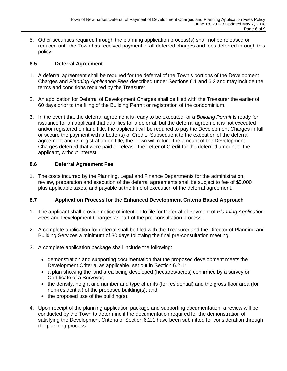5. Other securities required through the planning application process(s) shall not be released or reduced until the Town has received payment of all deferred charges and fees deferred through this policy.

# **8.5 Deferral Agreement**

- 1. A deferral agreement shall be required for the deferral of the Town's portions of the Development Charges and *Planning Application Fees* described under Sections 6.1 and 6.2 and may include the terms and conditions required by the Treasurer.
- 2. An application for Deferral of Development Charges shall be filed with the Treasurer the earlier of 60 days prior to the filing of the Building Permit or registration of the condominium.
- 3. In the event that the deferral agreement is ready to be executed, or a *Building Permit* is ready for issuance for an applicant that qualifies for a deferral, but the deferral agreement is not executed and/or registered on land title, the applicant will be required to pay the Development Charges in full or secure the payment with a Letter(s) of Credit. Subsequent to the execution of the deferral agreement and its registration on title, the Town will refund the amount of the Development Charges deferred that were paid or release the Letter of Credit for the deferred amount to the applicant, without interest.

# **8.6 Deferral Agreement Fee**

1. The costs incurred by the Planning, Legal and Finance Departments for the administration, review, preparation and execution of the deferral agreements shall be subject to fee of \$5,000 plus applicable taxes, and payable at the time of execution of the deferral agreement.

#### **8.7 Application Process for the Enhanced Development Criteria Based Approach**

- 1. The applicant shall provide notice of intention to file for Deferral of Payment of *Planning Application F*ees and Development Charges as part of the pre-consultation process.
- 2. A complete application for deferral shall be filed with the Treasurer and the Director of Planning and Building Services a minimum of 30 days following the final pre-consultation meeting.
- 3. A complete application package shall include the following:
	- demonstration and supporting documentation that the proposed development meets the Development Criteria, as applicable, set out in Section 6.2.1;
	- a plan showing the land area being developed (hectares/acres) confirmed by a survey or Certificate of a Surveyor;
	- the density, height and number and type of units (for residential) and the gross floor area (for non-residential) of the proposed building(s); and
	- $\bullet$  the proposed use of the building(s).
- 4. Upon receipt of the planning application package and supporting documentation, a review will be conducted by the Town to determine if the documentation required for the demonstration of satisfying the Development Criteria of Section 6.2.1 have been submitted for consideration through the planning process.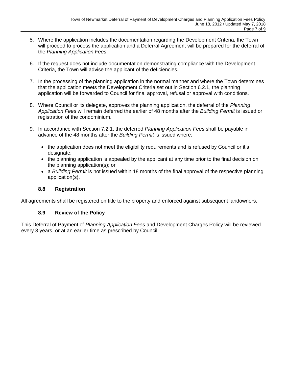- 5. Where the application includes the documentation regarding the Development Criteria, the Town will proceed to process the application and a Deferral Agreement will be prepared for the deferral of the *Planning Application Fees*.
- 6. If the request does not include documentation demonstrating compliance with the Development Criteria, the Town will advise the applicant of the deficiencies.
- 7. In the processing of the planning application in the normal manner and where the Town determines that the application meets the Development Criteria set out in Section 6.2.1, the planning application will be forwarded to Council for final approval, refusal or approval with conditions.
- 8. Where Council or its delegate, approves the planning application, the deferral of the *Planning Application Fees* will remain deferred the earlier of 48 months after the *Building Permit* is issued or registration of the condominium.
- 9. In accordance with Section 7.2.1, the deferred *Planning Application Fees* shall be payable in advance of the 48 months after the *Building Permit* is issued where:
	- the application does not meet the eligibility requirements and is refused by Council or it's designate;
	- the planning application is appealed by the applicant at any time prior to the final decision on the planning application(s); or
	- a *Building Permit* is not issued within 18 months of the final approval of the respective planning application(s).

#### **8.8 Registration**

All agreements shall be registered on title to the property and enforced against subsequent landowners.

#### **8.9 Review of the Policy**

This Deferral of Payment of *Planning Application Fees* and Development Charges Policy will be reviewed every 3 years, or at an earlier time as prescribed by Council.